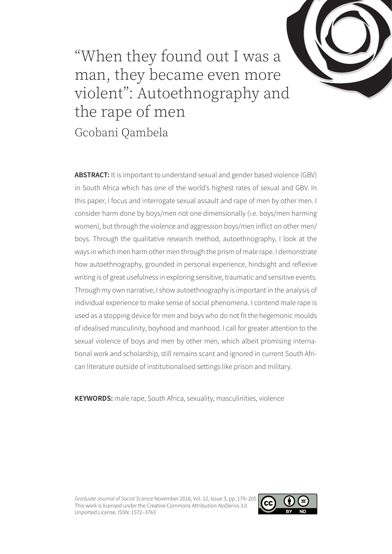

"When they found out I was a man, they became even more violent": Autoethnography and the rape of men Gcobani Qambela

**ABSTRACT:** It is important to understand sexual and gender based violence (GBV) in South Africa which has one of the world's highest rates of sexual and GBV. In this paper, I focus and interrogate sexual assault and rape of men by other men. I consider harm done by boys/men not one dimensionally (i.e. boys/men harming women), but through the violence and aggression boys/men inflict on other men/ boys. Through the qualitative research method, autoethnography, I look at the ways in which men harm other men through the prism of male rape. I demonstrate how autoethnography, grounded in personal experience, hindsight and reflexive writing is of great usefulness in exploring sensitive, traumatic and sensitive events. Through my own narrative, I show autoethnography is important in the analysis of individual experience to make sense of social phenomena. I contend male rape is used as a stopping device for men and boys who do not fit the hegemonic moulds of idealised masculinity, boyhood and manhood. I call for greater attention to the sexual violence of boys and men by other men, which albeit promising international work and scholarship, still remains scant and ignored in current South African literature outside of institutionalised settings like prison and military.

**KEYWORDS:** male rape, South Africa, sexuality, masculinities, violence

*Graduate Journal of Social Science* November 2016, Vol. 12, Issue 3, pp. 179–205 This work is licensed under the Creative Commons Attribution-NoDerivs 3.0 Unported License. ISSN: 1572–3763

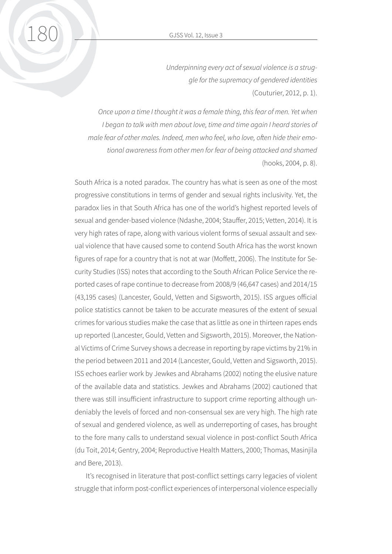*Underpinning every act of sexual violence is a struggle for the supremacy of gendered identities* (Couturier, 2012, p. 1).

*Once upon a time I thought it was a female thing, this fear of men. Yet when* I began to talk with men about love, time and time again I heard stories of *male fear of other males. Indeed, men who feel, who love, often hide their emotional awareness from other men for fear of being attacked and shamed* (hooks, 2004, p. 8).

South Africa is a noted paradox. The country has what is seen as one of the most progressive constitutions in terms of gender and sexual rights inclusivity. Yet, the paradox lies in that South Africa has one of the world's highest reported levels of sexual and gender-based violence (Ndashe, 2004; Stauffer, 2015; Vetten, 2014). It is very high rates of rape, along with various violent forms of sexual assault and sexual violence that have caused some to contend South Africa has the worst known figures of rape for a country that is not at war (Moffett, 2006). The Institute for Security Studies (ISS) notes that according to the South African Police Service the reported cases of rape continue to decrease from 2008/9 (46,647 cases) and 2014/15 (43,195 cases) (Lancester, Gould, Vetten and Sigsworth, 2015). ISS argues official police statistics cannot be taken to be accurate measures of the extent of sexual crimes for various studies make the case that as little as one in thirteen rapes ends up reported (Lancester, Gould, Vetten and Sigsworth, 2015). Moreover, the National Victims of Crime Survey shows a decrease in reporting by rape victims by 21% in the period between 2011 and 2014 (Lancester, Gould, Vetten and Sigsworth, 2015). ISS echoes earlier work by Jewkes and Abrahams (2002) noting the elusive nature of the available data and statistics. Jewkes and Abrahams (2002) cautioned that there was still insufficient infrastructure to support crime reporting although undeniably the levels of forced and non-consensual sex are very high. The high rate of sexual and gendered violence, as well as underreporting of cases, has brought to the fore many calls to understand sexual violence in post-conflict South Africa (du Toit, 2014; Gentry, 2004; Reproductive Health Matters, 2000; Thomas, Masinjila and Bere, 2013).

It's recognised in literature that post-conflict settings carry legacies of violent struggle that inform post-conflict experiences of interpersonal violence especially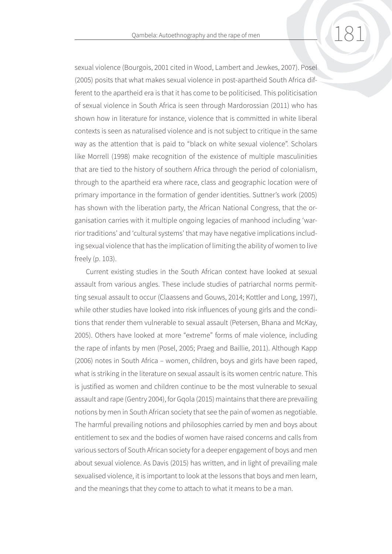sexual violence (Bourgois, 2001 cited in Wood, Lambert and Jewkes, 2007). Posel (2005) posits that what makes sexual violence in post-apartheid South Africa different to the apartheid era is that it has come to be politicised. This politicisation of sexual violence in South Africa is seen through Mardorossian (2011) who has shown how in literature for instance, violence that is committed in white liberal contexts is seen as naturalised violence and is not subject to critique in the same way as the attention that is paid to "black on white sexual violence". Scholars like Morrell (1998) make recognition of the existence of multiple masculinities that are tied to the history of southern Africa through the period of colonialism, through to the apartheid era where race, class and geographic location were of primary importance in the formation of gender identities. Suttner's work (2005) has shown with the liberation party, the African National Congress, that the organisation carries with it multiple ongoing legacies of manhood including 'warrior traditions' and 'cultural systems' that may have negative implications including sexual violence that has the implication of limiting the ability of women to live freely (p. 103).

Current existing studies in the South African context have looked at sexual assault from various angles. These include studies of patriarchal norms permitting sexual assault to occur (Claassens and Gouws, 2014; Kottler and Long, 1997), while other studies have looked into risk influences of young girls and the conditions that render them vulnerable to sexual assault (Petersen, Bhana and McKay, 2005). Others have looked at more "extreme" forms of male violence, including the rape of infants by men (Posel, 2005; Praeg and Baillie, 2011). Although Kapp (2006) notes in South Africa – women, children, boys and girls have been raped, what is striking in the literature on sexual assault is its women centric nature. This is justified as women and children continue to be the most vulnerable to sexual assault and rape (Gentry 2004), for Gqola (2015) maintains that there are prevailing notions by men in South African society that see the pain of women as negotiable. The harmful prevailing notions and philosophies carried by men and boys about entitlement to sex and the bodies of women have raised concerns and calls from various sectors of South African society for a deeper engagement of boys and men about sexual violence. As Davis (2015) has written, and in light of prevailing male sexualised violence, it is important to look at the lessons that boys and men learn, and the meanings that they come to attach to what it means to be a man.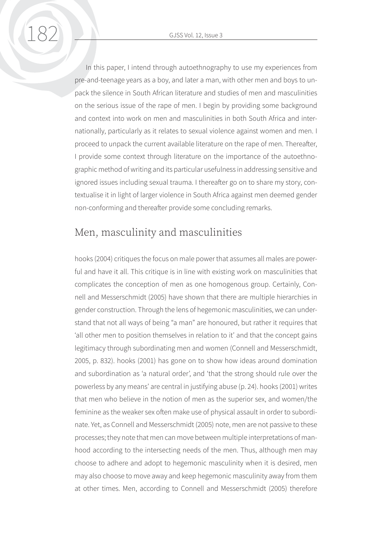In this paper, I intend through autoethnography to use my experiences from pre-and-teenage years as a boy, and later a man, with other men and boys to unpack the silence in South African literature and studies of men and masculinities on the serious issue of the rape of men. I begin by providing some background and context into work on men and masculinities in both South Africa and internationally, particularly as it relates to sexual violence against women and men. I proceed to unpack the current available literature on the rape of men. Thereafter, I provide some context through literature on the importance of the autoethnographic method of writing and its particular usefulness in addressing sensitive and ignored issues including sexual trauma. I thereafter go on to share my story, contextualise it in light of larger violence in South Africa against men deemed gender non-conforming and thereafter provide some concluding remarks.

### Men, masculinity and masculinities

hooks (2004) critiques the focus on male power that assumes all males are powerful and have it all. This critique is in line with existing work on masculinities that complicates the conception of men as one homogenous group. Certainly, Connell and Messerschmidt (2005) have shown that there are multiple hierarchies in gender construction. Through the lens of hegemonic masculinities, we can understand that not all ways of being "a man" are honoured, but rather it requires that 'all other men to position themselves in relation to it' and that the concept gains legitimacy through subordinating men and women (Connell and Messerschmidt, 2005, p. 832). hooks (2001) has gone on to show how ideas around domination and subordination as 'a natural order', and 'that the strong should rule over the powerless by any means' are central in justifying abuse (p. 24). hooks (2001) writes that men who believe in the notion of men as the superior sex, and women/the feminine as the weaker sex often make use of physical assault in order to subordinate. Yet, as Connell and Messerschmidt (2005) note, men are not passive to these processes; they note that men can move between multiple interpretations of manhood according to the intersecting needs of the men. Thus, although men may choose to adhere and adopt to hegemonic masculinity when it is desired, men may also choose to move away and keep hegemonic masculinity away from them at other times. Men, according to Connell and Messerschmidt (2005) therefore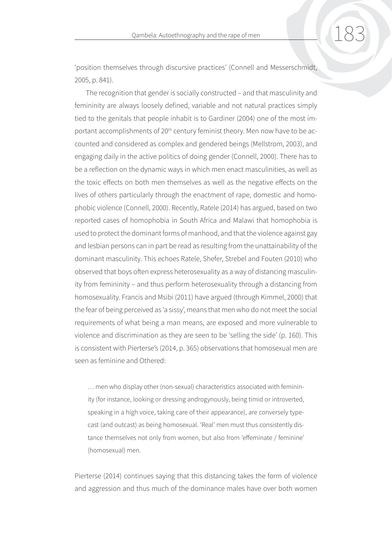'position themselves through discursive practices' (Connell and Messerschmidt, 2005, p. 841).

The recognition that gender is socially constructed – and that masculinity and femininity are always loosely defined, variable and not natural practices simply tied to the genitals that people inhabit is to Gardiner (2004) one of the most important accomplishments of 20<sup>th</sup> century feminist theory. Men now have to be accounted and considered as complex and gendered beings (Mellstrom, 2003), and engaging daily in the active politics of doing gender (Connell, 2000). There has to be a reflection on the dynamic ways in which men enact masculinities, as well as the toxic effects on both men themselves as well as the negative effects on the lives of others particularly through the enactment of rape, domestic and homophobic violence (Connell, 2000). Recently, Ratele (2014) has argued, based on two reported cases of homophobia in South Africa and Malawi that homophobia is used to protect the dominant forms of manhood, and that the violence against gay and lesbian persons can in part be read as resulting from the unattainability of the dominant masculinity. This echoes Ratele, Shefer, Strebel and Fouten (2010) who observed that boys often express heterosexuality as a way of distancing masculinity from femininity – and thus perform heterosexuality through a distancing from homosexuality. Francis and Msibi (2011) have argued (through Kimmel, 2000) that the fear of being perceived as 'a sissy', means that men who do not meet the social requirements of what being a man means, are exposed and more vulnerable to violence and discrimination as they are seen to be 'selling the side' (p. 160). This is consistent with Pierterse's (2014, p. 365) observations that homosexual men are seen as feminine and Othered:

… men who display other (non-sexual) characteristics associated with femininity (for instance, looking or dressing androgynously, being timid or introverted, speaking in a high voice, taking care of their appearance), are conversely typecast (and outcast) as being homosexual. 'Real' men must thus consistently distance themselves not only from women, but also from 'effeminate / feminine' (homosexual) men.

Pierterse (2014) continues saying that this distancing takes the form of violence and aggression and thus much of the dominance males have over both women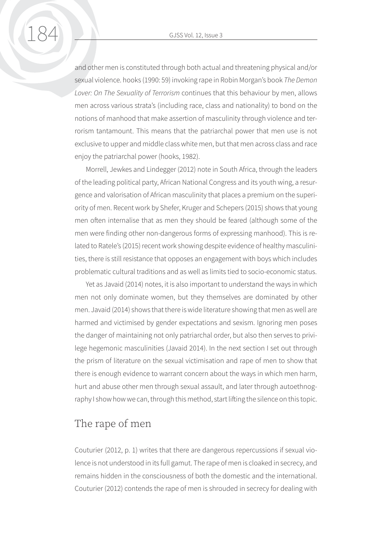and other men is constituted through both actual and threatening physical and/or sexual violence. hooks (1990: 59) invoking rape in Robin Morgan's book *The Demon Lover: On The Sexuality of Terrorism* continues that this behaviour by men, allows men across various strata's (including race, class and nationality) to bond on the notions of manhood that make assertion of masculinity through violence and terrorism tantamount. This means that the patriarchal power that men use is not exclusive to upper and middle class white men, but that men across class and race enjoy the patriarchal power (hooks, 1982).

Morrell, Jewkes and Lindegger (2012) note in South Africa, through the leaders of the leading political party, African National Congress and its youth wing, a resurgence and valorisation of African masculinity that places a premium on the superiority of men. Recent work by Shefer, Kruger and Schepers (2015) shows that young men often internalise that as men they should be feared (although some of the men were finding other non-dangerous forms of expressing manhood). This is related to Ratele's (2015) recent work showing despite evidence of healthy masculinities, there is still resistance that opposes an engagement with boys which includes problematic cultural traditions and as well as limits tied to socio-economic status.

Yet as Javaid (2014) notes, it is also important to understand the ways in which men not only dominate women, but they themselves are dominated by other men. Javaid (2014) shows that there is wide literature showing that men as well are harmed and victimised by gender expectations and sexism. Ignoring men poses the danger of maintaining not only patriarchal order, but also then serves to privilege hegemonic masculinities (Javaid 2014). In the next section I set out through the prism of literature on the sexual victimisation and rape of men to show that there is enough evidence to warrant concern about the ways in which men harm, hurt and abuse other men through sexual assault, and later through autoethnography I show how we can, through this method, start lifting the silence on this topic.

## The rape of men

Couturier (2012, p. 1) writes that there are dangerous repercussions if sexual violence is not understood in its full gamut. The rape of men is cloaked in secrecy, and remains hidden in the consciousness of both the domestic and the international. Couturier (2012) contends the rape of men is shrouded in secrecy for dealing with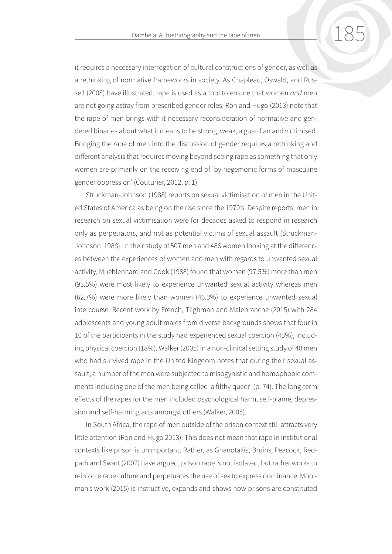it requires a necessary interrogation of cultural constructions of gender, as well as a rethinking of normative frameworks in society. As Chapleau, Oswald, and Russell (2008) have illustrated, rape is used as a tool to ensure that women *and* men are not going astray from prescribed gender roles. Ron and Hugo (2013) note that the rape of men brings with it necessary reconsideration of normative and gendered binaries about what it means to be strong, weak, a guardian and victimised. Bringing the rape of men into the discussion of gender requires a rethinking and different analysis that requires moving beyond seeing rape as something that only women are primarily on the receiving end of 'by hegemonic forms of masculine gender oppression' (Couturier, 2012, p. 1).

Struckman-Johnson (1988) reports on sexual victimisation of men in the United States of America as being on the rise since the 1970's. Despite reports, men in research on sexual victimisation were for decades asked to respond in research only as perpetrators, and not as potential victims of sexual assault (Struckman-Johnson, 1988). In their study of 507 men and 486 women looking at the differences between the experiences of women and men with regards to unwanted sexual activity, Muehlenhard and Cook (1988) found that women (97.5%) more than men (93.5%) were most likely to experience unwanted sexual activity whereas men (62.7%) were more likely than women (46.3%) to experience unwanted sexual intercourse. Recent work by French, Tilghman and Malebranche (2015) with 284 adolescents and young adult males from diverse backgrounds shows that four in 10 of the participants in the study had experienced sexual coercion (43%), including physical coercion (18%). Walker (2005) in a non-clinical setting study of 40 men who had survived rape in the United Kingdom notes that during their sexual assault, a number of the men were subjected to misogynistic and homophobic comments including one of the men being called 'a filthy queer' (p. 74). The long-term effects of the rapes for the men included psychological harm, self-blame, depression and self-harming acts amongst others (Walker, 2005).

In South Africa, the rape of men outside of the prison context still attracts very little attention (Ron and Hugo 2013). This does not mean that rape in institutional contexts like prison is unimportant. Rather, as Ghanotakis, Bruins, Peacock, Redpath and Swart (2007) have argued, prison rape is not isolated, but rather works to reinforce rape culture and perpetuates the use of sex to express dominance. Moolman's work (2015) is instructive, expands and shows how prisons are constituted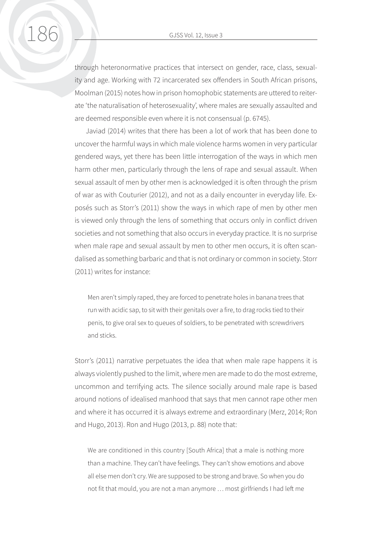through heteronormative practices that intersect on gender, race, class, sexuality and age. Working with 72 incarcerated sex offenders in South African prisons, Moolman (2015) notes how in prison homophobic statements are uttered to reiterate 'the naturalisation of heterosexuality', where males are sexually assaulted and are deemed responsible even where it is not consensual (p. 6745).

Javiad (2014) writes that there has been a lot of work that has been done to uncover the harmful ways in which male violence harms women in very particular gendered ways, yet there has been little interrogation of the ways in which men harm other men, particularly through the lens of rape and sexual assault. When sexual assault of men by other men is acknowledged it is often through the prism of war as with Couturier (2012), and not as a daily encounter in everyday life. Exposés such as Storr's (2011) show the ways in which rape of men by other men is viewed only through the lens of something that occurs only in conflict driven societies and not something that also occurs in everyday practice. It is no surprise when male rape and sexual assault by men to other men occurs, it is often scandalised as something barbaric and that is not ordinary or common in society. Storr (2011) writes for instance:

Men aren't simply raped, they are forced to penetrate holes in banana trees that run with acidic sap, to sit with their genitals over a fire, to drag rocks tied to their penis, to give oral sex to queues of soldiers, to be penetrated with screwdrivers and sticks.

Storr's (2011) narrative perpetuates the idea that when male rape happens it is always violently pushed to the limit, where men are made to do the most extreme, uncommon and terrifying acts. The silence socially around male rape is based around notions of idealised manhood that says that men cannot rape other men and where it has occurred it is always extreme and extraordinary (Merz, 2014; Ron and Hugo, 2013). Ron and Hugo (2013, p. 88) note that:

We are conditioned in this country [South Africa] that a male is nothing more than a machine. They can't have feelings. They can't show emotions and above all else men don't cry. We are supposed to be strong and brave. So when you do not fit that mould, you are not a man anymore … most girlfriends I had left me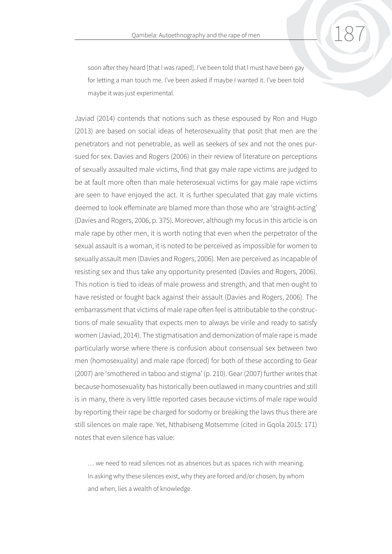soon after they heard [that I was raped]. I've been told that I must have been gay for letting a man touch me. I've been asked if maybe I wanted it. I've been told maybe it was just experimental.

Javiad (2014) contends that notions such as these espoused by Ron and Hugo (2013) are based on social ideas of heterosexuality that posit that men are the penetrators and not penetrable, as well as seekers of sex and not the ones pursued for sex. Davies and Rogers (2006) in their review of literature on perceptions of sexually assaulted male victims, find that gay male rape victims are judged to be at fault more often than male heterosexual victims for gay male rape victims are seen to have enjoyed the act. It is further speculated that gay male victims deemed to look effeminate are blamed more than those who are 'straight-acting' (Davies and Rogers, 2006, p. 375). Moreover, although my focus in this article is on male rape by other men, it is worth noting that even when the perpetrator of the sexual assault is a woman, it is noted to be perceived as impossible for women to sexually assault men (Davies and Rogers, 2006). Men are perceived as incapable of resisting sex and thus take any opportunity presented (Davies and Rogers, 2006). This notion is tied to ideas of male prowess and strength, and that men ought to have resisted or fought back against their assault (Davies and Rogers, 2006). The embarrassment that victims of male rape often feel is attributable to the constructions of male sexuality that expects men to always be virile and ready to satisfy women (Javiad, 2014). The stigmatisation and demonization of male rape is made particularly worse where there is confusion about consensual sex between two men (homosexuality) and male rape (forced) for both of these according to Gear (2007) are 'smothered in taboo and stigma' (p. 210). Gear (2007) further writes that because homosexuality has historically been outlawed in many countries and still is in many, there is very little reported cases because victims of male rape would by reporting their rape be charged for sodomy or breaking the laws thus there are still silences on male rape. Yet, Nthabiseng Motsemme (cited in Gqola 2015: 171) notes that even silence has value:

… we need to read silences not as absences but as spaces rich with meaning. In asking why these silences exist, why they are forced and/or chosen, by whom and when, lies a wealth of knowledge.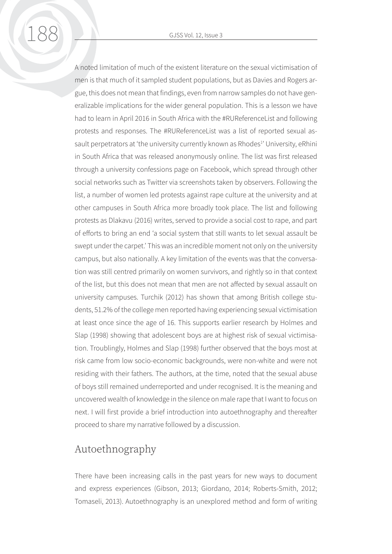188 GJSS Vol. 12, Issue 3

A noted limitation of much of the existent literature on the sexual victimisation of men is that much of it sampled student populations, but as Davies and Rogers argue, this does not mean that findings, even from narrow samples do not have generalizable implications for the wider general population. This is a lesson we have had to learn in April 2016 in South Africa with the #RUReferenceList and following protests and responses. The #RUReferenceList was a list of reported sexual assault perpetrators at 'the university currently known as Rhodes<sup>1</sup>' University, eRhini in South Africa that was released anonymously online. The list was first released through a university confessions page on Facebook, which spread through other social networks such as Twitter via screenshots taken by observers. Following the list, a number of women led protests against rape culture at the university and at other campuses in South Africa more broadly took place. The list and following protests as Dlakavu (2016) writes, served to provide a social cost to rape, and part of efforts to bring an end 'a social system that still wants to let sexual assault be swept under the carpet.' This was an incredible moment not only on the university campus, but also nationally. A key limitation of the events was that the conversation was still centred primarily on women survivors, and rightly so in that context of the list, but this does not mean that men are not affected by sexual assault on university campuses. Turchik (2012) has shown that among British college students, 51.2% of the college men reported having experiencing sexual victimisation at least once since the age of 16. This supports earlier research by Holmes and Slap (1998) showing that adolescent boys are at highest risk of sexual victimisation. Troublingly, Holmes and Slap (1998) further observed that the boys most at risk came from low socio-economic backgrounds, were non-white and were not residing with their fathers. The authors, at the time, noted that the sexual abuse of boys still remained underreported and under recognised. It is the meaning and uncovered wealth of knowledge in the silence on male rape that I want to focus on next. I will first provide a brief introduction into autoethnography and thereafter proceed to share my narrative followed by a discussion.

# Autoethnography

There have been increasing calls in the past years for new ways to document and express experiences (Gibson, 2013; Giordano, 2014; Roberts-Smith, 2012; Tomaseli, 2013). Autoethnography is an unexplored method and form of writing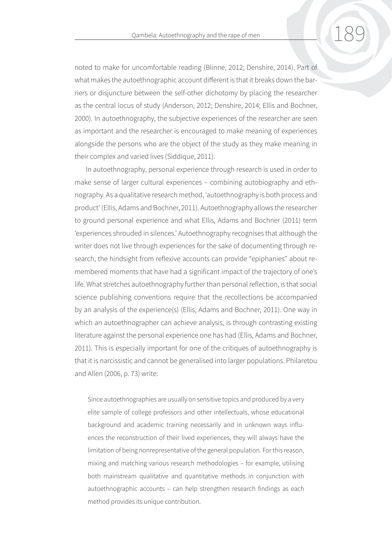noted to make for uncomfortable reading (Blinne, 2012; Denshire, 2014). Part of what makes the autoethnographic account different is that it breaks down the barriers or disjuncture between the self-other dichotomy by placing the researcher as the central locus of study (Anderson, 2012; Denshire, 2014; Ellis and Bochner, 2000). In autoethnography, the subjective experiences of the researcher are seen as important and the researcher is encouraged to make meaning of experiences alongside the persons who are the object of the study as they make meaning in their complex and varied lives (Siddique, 2011).

In autoethnography, personal experience through research is used in order to make sense of larger cultural experiences – combining autobiography and ethnography. As a qualitative research method, 'autoethnography is both process and product' (Ellis, Adams and Bochner, 2011). Autoethnography allows the researcher to ground personal experience and what Ellis, Adams and Bochner (2011) term 'experiences shrouded in silences.' Autoethnography recognises that although the writer does not live through experiences for the sake of documenting through research, the hindsight from reflexive accounts can provide "epiphanies" about remembered moments that have had a significant impact of the trajectory of one's life. What stretches autoethnography further than personal reflection, is that social science publishing conventions require that the recollections be accompanied by an analysis of the experience(s) (Ellis, Adams and Bochner, 2011). One way in which an autoethnographer can achieve analysis, is through contrasting existing literature against the personal experience one has had (Ellis, Adams and Bochner, 2011). This is especially important for one of the critiques of autoethnography is that it is narcissistic and cannot be generalised into larger populations. Philaretou and Allen (2006, p. 73) write:

Since autoethnographies are usually on sensitive topics and produced by a very elite sample of college professors and other intellectuals, whose educational background and academic training necessarily and in unknown ways influences the reconstruction of their lived experiences, they will always have the limitation of being nonrepresentative of the general population. For this reason, mixing and matching various research methodologies – for example, utilising both mainstream qualitative and quantitative methods in conjunction with autoethnographic accounts – can help strengthen research findings as each method provides its unique contribution.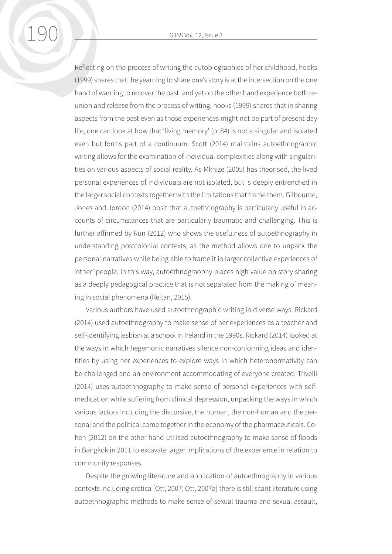Reflecting on the process of writing the autobiographies of her childhood, hooks (1999) shares that the yearning to share one's story is at the intersection on the one hand of wanting to recover the past, and yet on the other hand experience both reunion and release from the process of writing. hooks (1999) shares that in sharing aspects from the past even as those experiences might not be part of present day life, one can look at how that 'living memory' (p. 84) is not a singular and isolated even but forms part of a continuum. Scott (2014) maintains autoethnographic writing allows for the examination of individual complexities along with singularities on various aspects of social reality. As Mkhize (2005) has theorised, the lived personal experiences of individuals are not isolated, but is deeply entrenched in the larger social contexts together with the limitations that frame them. Gilbourne, Jones and Jordon (2014) posit that autoethnography is particularly useful in accounts of circumstances that are particularly traumatic and challenging. This is further affirmed by Run (2012) who shows the usefulness of autoethnography in understanding postcolonial contexts, as the method allows one to unpack the personal narratives while being able to frame it in larger collective experiences of 'other' people. In this way, autoethnograophy places high value on story sharing as a deeply pedagogical practice that is not separated from the making of meaning in social phenomena (Reitan, 2015).

Various authors have used autoethnographic writing in diverse ways. Rickard (2014) used autoethnography to make sense of her experiences as a teacher and self-identifying lesbian at a school in Ireland in the 1990s. Rickard (2014) looked at the ways in which hegemonic narratives silence non-conforming ideas and identities by using her experiences to explore ways in which heteronormativity can be challenged and an environment accommodating of everyone created. Trivelli (2014) uses autoethnography to make sense of personal experiences with selfmedication while suffering from clinical depression, unpacking the ways in which various factors including the discursive, the human, the non-human and the personal and the political come together in the economy of the pharmaceuticals. Cohen (2012) on the other hand utilised autoethnography to make sense of floods in Bangkok in 2011 to excavate larger implications of the experience in relation to community responses.

Despite the growing literature and application of autoethnography in various contexts including erotica [Ott, 2007; Ott, 2007a] there is still scant literature using autoethnographic methods to make sense of sexual trauma and sexual assault,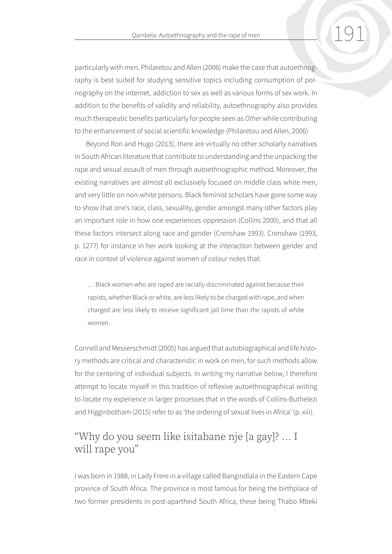particularly with men. Philaretou and Allen (2006) make the case that autoethnography is best suited for studying sensitive topics including consumption of pornography on the internet, addiction to sex as well as various forms of sex work. In addition to the benefits of validity and reliability, autoethnography also provides much therapeutic benefits particularly for people seen as *Other* while contributing to the enhancement of social scientific knowledge (Philaretou and Allen, 2006)

Beyond Ron and Hugo (2013), there are virtually no other scholarly narratives in South African literature that contribute to understanding and the unpacking the rape and sexual assault of men through autoethnographic method. Moreover, the existing narratives are almost all exclusively focused on middle class white men, and very little on non-white persons. Black feminist scholars have gone some way to show that one's race, class, sexuality, gender amongst many other factors play an important role in how one experiences oppression (Collins 2000), and that all these factors intersect along race and gender (Crenshaw 1993). Crenshaw (1993, p. 1277) for instance in her work looking at the interaction between gender and race in context of violence against women of colour notes that:

… Black women who are raped are racially discriminated against because their rapists, whether Black or white, are less likely to be charged with rape, and when charged are less likely to receive significant jail time than the rapists of white women.

Connell and Messerschmidt (2005) has argued that autobiographical and life history methods are critical and characteristic in work on men, for such methods allow for the centering of individual subjects. In writing my narrative below, I therefore attempt to locate myself in this tradition of reflexive autoethnographical writing to locate my experience in larger processes that in the words of Collins-Buthelezi and Higginbotham (2015) refer to as 'the ordering of sexual lives in Africa' (p. xiii).

# "Why do you seem like isitabane nje [a gay]? … I will rape you"

I was born in 1988, in Lady Frere in a village called Bangindlala in the Eastern Cape province of South Africa. The province is most famous for being the birthplace of two former presidents in post-apartheid South Africa, these being Thabo Mbeki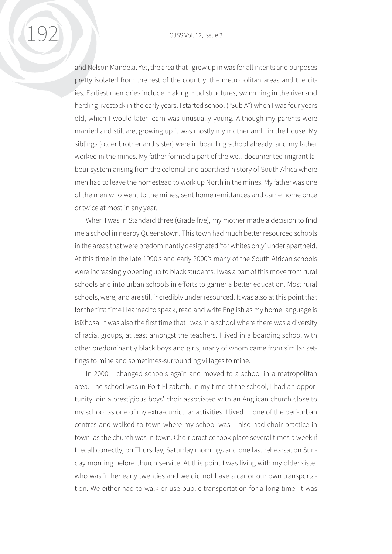and Nelson Mandela. Yet, the area that I grew up in was for all intents and purposes pretty isolated from the rest of the country, the metropolitan areas and the cities. Earliest memories include making mud structures, swimming in the river and herding livestock in the early years. I started school ("Sub A") when I was four years old, which I would later learn was unusually young. Although my parents were married and still are, growing up it was mostly my mother and I in the house. My siblings (older brother and sister) were in boarding school already, and my father worked in the mines. My father formed a part of the well-documented migrant labour system arising from the colonial and apartheid history of South Africa where men had to leave the homestead to work up North in the mines. My father was one of the men who went to the mines, sent home remittances and came home once or twice at most in any year.

When I was in Standard three (Grade five), my mother made a decision to find me a school in nearby Queenstown. This town had much better resourced schools in the areas that were predominantly designated 'for whites only' under apartheid. At this time in the late 1990's and early 2000's many of the South African schools were increasingly opening up to black students. I was a part of this move from rural schools and into urban schools in efforts to garner a better education. Most rural schools, were, and are still incredibly under resourced. It was also at this point that for the first time I learned to speak, read and write English as my home language is isiXhosa. It was also the first time that I was in a school where there was a diversity of racial groups, at least amongst the teachers. I lived in a boarding school with other predominantly black boys and girls, many of whom came from similar settings to mine and sometimes-surrounding villages to mine.

In 2000, I changed schools again and moved to a school in a metropolitan area. The school was in Port Elizabeth. In my time at the school, I had an opportunity join a prestigious boys' choir associated with an Anglican church close to my school as one of my extra-curricular activities. I lived in one of the peri-urban centres and walked to town where my school was. I also had choir practice in town, as the church was in town. Choir practice took place several times a week if I recall correctly, on Thursday, Saturday mornings and one last rehearsal on Sunday morning before church service. At this point I was living with my older sister who was in her early twenties and we did not have a car or our own transportation. We either had to walk or use public transportation for a long time. It was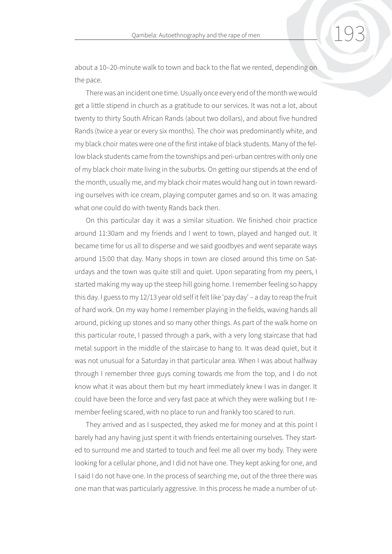about a 10–20-minute walk to town and back to the flat we rented, depending on the pace.

There was an incident one time. Usually once every end of the month we would get a little stipend in church as a gratitude to our services. It was not a lot, about twenty to thirty South African Rands (about two dollars), and about five hundred Rands (twice a year or every six months). The choir was predominantly white, and my black choir mates were one of the first intake of black students. Many of the fellow black students came from the townships and peri-urban centres with only one of my black choir mate living in the suburbs. On getting our stipends at the end of the month, usually me, and my black choir mates would hang out in town rewarding ourselves with ice cream, playing computer games and so on. It was amazing what one could do with twenty Rands back then.

On this particular day it was a similar situation. We finished choir practice around 11:30am and my friends and I went to town, played and hanged out. It became time for us all to disperse and we said goodbyes and went separate ways around 15:00 that day. Many shops in town are closed around this time on Saturdays and the town was quite still and quiet. Upon separating from my peers, I started making my way up the steep hill going home. I remember feeling so happy this day. I guess to my 12/13 year old self it felt like 'pay day' – a day to reap the fruit of hard work. On my way home I remember playing in the fields, waving hands all around, picking up stones and so many other things. As part of the walk home on this particular route, I passed through a park, with a very long staircase that had metal support in the middle of the staircase to hang to. It was dead quiet, but it was not unusual for a Saturday in that particular area. When I was about halfway through I remember three guys coming towards me from the top, and I do not know what it was about them but my heart immediately knew I was in danger. It could have been the force and very fast pace at which they were walking but I remember feeling scared, with no place to run and frankly too scared to run.

They arrived and as I suspected, they asked me for money and at this point I barely had any having just spent it with friends entertaining ourselves. They started to surround me and started to touch and feel me all over my body. They were looking for a cellular phone, and I did not have one. They kept asking for one, and I said I do not have one. In the process of searching me, out of the three there was one man that was particularly aggressive. In this process he made a number of ut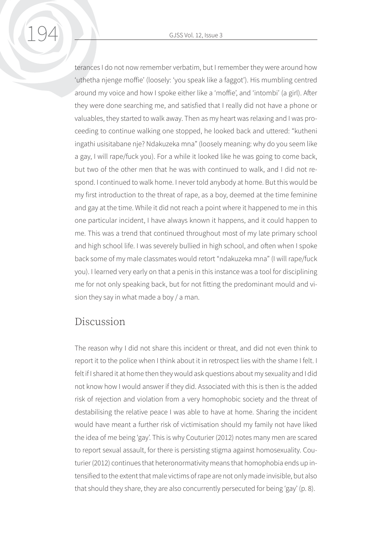194 GJSS Vol. 12, Issue 3

terances I do not now remember verbatim, but I remember they were around how 'uthetha njenge moffie' (loosely: 'you speak like a faggot'). His mumbling centred around my voice and how I spoke either like a 'moffie', and 'intombi' (a girl). After they were done searching me, and satisfied that I really did not have a phone or valuables, they started to walk away. Then as my heart was relaxing and I was proceeding to continue walking one stopped, he looked back and uttered: "kutheni ingathi usisitabane nje? Ndakuzeka mna" (loosely meaning: why do you seem like a gay, I will rape/fuck you). For a while it looked like he was going to come back, but two of the other men that he was with continued to walk, and I did not respond. I continued to walk home. I never told anybody at home. But this would be my first introduction to the threat of rape, as a boy, deemed at the time feminine and gay at the time. While it did not reach a point where it happened to me in this one particular incident, I have always known it happens, and it could happen to me. This was a trend that continued throughout most of my late primary school and high school life. I was severely bullied in high school, and often when I spoke back some of my male classmates would retort "ndakuzeka mna" (I will rape/fuck you). I learned very early on that a penis in this instance was a tool for disciplining me for not only speaking back, but for not fitting the predominant mould and vision they say in what made a boy / a man.

#### Discussion

The reason why I did not share this incident or threat, and did not even think to report it to the police when I think about it in retrospect lies with the shame I felt. I felt if I shared it at home then they would ask questions about my sexuality and I did not know how I would answer if they did. Associated with this is then is the added risk of rejection and violation from a very homophobic society and the threat of destabilising the relative peace I was able to have at home. Sharing the incident would have meant a further risk of victimisation should my family not have liked the idea of me being 'gay'. This is why Couturier (2012) notes many men are scared to report sexual assault, for there is persisting stigma against homosexuality. Couturier (2012) continues that heteronormativity means that homophobia ends up intensified to the extent that male victims of rape are not only made invisible, but also that should they share, they are also concurrently persecuted for being 'gay' (p. 8).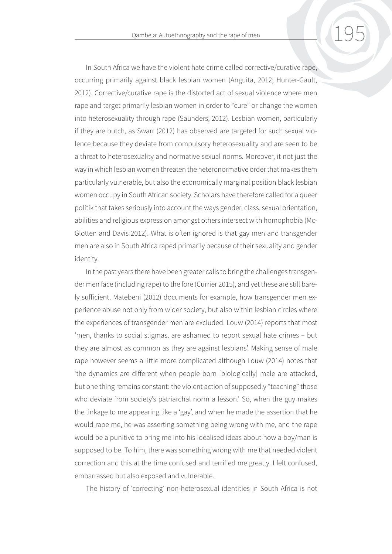In South Africa we have the violent hate crime called corrective/curative rape, occurring primarily against black lesbian women (Anguita, 2012; Hunter-Gault, 2012). Corrective/curative rape is the distorted act of sexual violence where men rape and target primarily lesbian women in order to "cure" or change the women into heterosexuality through rape (Saunders, 2012). Lesbian women, particularly if they are butch, as Swarr (2012) has observed are targeted for such sexual violence because they deviate from compulsory heterosexuality and are seen to be a threat to heterosexuality and normative sexual norms. Moreover, it not just the way in which lesbian women threaten the heteronormative order that makes them particularly vulnerable, but also the economically marginal position black lesbian women occupy in South African society. Scholars have therefore called for a queer politik that takes seriously into account the ways gender, class, sexual orientation, abilities and religious expression amongst others intersect with homophobia (Mc-Glotten and Davis 2012). What is often ignored is that gay men and transgender men are also in South Africa raped primarily because of their sexuality and gender identity.

In the past years there have been greater calls to bring the challenges transgender men face (including rape) to the fore (Currier 2015), and yet these are still barely sufficient. Matebeni (2012) documents for example, how transgender men experience abuse not only from wider society, but also within lesbian circles where the experiences of transgender men are excluded. Louw (2014) reports that most 'men, thanks to social stigmas, are ashamed to report sexual hate crimes – but they are almost as common as they are against lesbians'. Making sense of male rape however seems a little more complicated although Louw (2014) notes that 'the dynamics are different when people born [biologically] male are attacked, but one thing remains constant: the violent action of supposedly "teaching" those who deviate from society's patriarchal norm a lesson.' So, when the guy makes the linkage to me appearing like a 'gay', and when he made the assertion that he would rape me, he was asserting something being wrong with me, and the rape would be a punitive to bring me into his idealised ideas about how a boy/man is supposed to be. To him, there was something wrong with me that needed violent correction and this at the time confused and terrified me greatly. I felt confused, embarrassed but also exposed and vulnerable.

The history of 'correcting' non-heterosexual identities in South Africa is not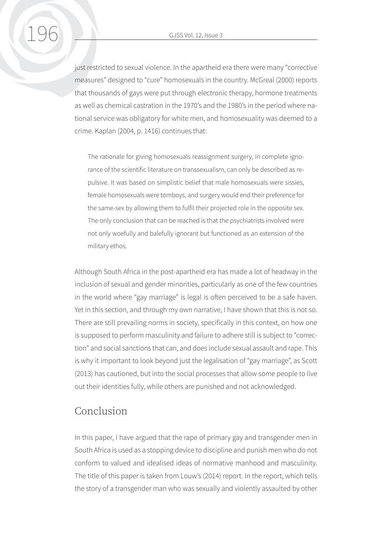just restricted to sexual violence. In the apartheid era there were many "corrective measures" designed to "cure" homosexuals in the country. McGreal (2000) reports that thousands of gays were put through electronic therapy, hormone treatments as well as chemical castration in the 1970's and the 1980's in the period where national service was obligatory for white men, and homosexuality was deemed to a crime. Kaplan (2004, p. 1416) continues that:

The rationale for giving homosexuals reassignment surgery, in complete ignorance of the scientific literature on transsexualism, can only be described as repulsive. It was based on simplistic belief that male homosexuals were sissies, female homosexuals were tomboys, and surgery would end their preference for the same-sex by allowing them to fulfil their projected role in the opposite sex. The only conclusion that can be reached is that the psychiatrists involved were not only woefully and balefully ignorant but functioned as an extension of the military ethos.

Although South Africa in the post-apartheid era has made a lot of headway in the inclusion of sexual and gender minorities, particularly as one of the few countries in the world where "gay marriage" is legal is often perceived to be a safe haven. Yet in this section, and through my own narrative, I have shown that this is not so. There are still prevailing norms in society, specifically in this context, on how one is supposed to perform masculinity and failure to adhere still is subject to "correction" and social sanctions that can, and does include sexual assault and rape. This is why it important to look beyond just the legalisation of "gay marriage", as Scott (2013) has cautioned, but into the social processes that allow some people to live out their identities fully, while others are punished and not acknowledged.

## Conclusion

In this paper, I have argued that the rape of primary gay and transgender men in South Africa is used as a stopping device to discipline and punish men who do not conform to valued and idealised ideas of normative manhood and masculinity. The title of this paper is taken from Louw's (2014) report. In the report, which tells the story of a transgender man who was sexually and violently assaulted by other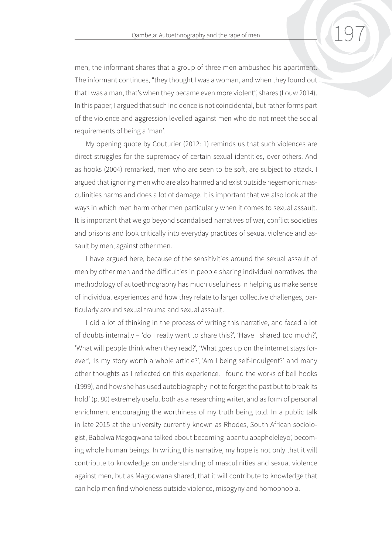men, the informant shares that a group of three men ambushed his apartment. The informant continues, "they thought I was a woman, and when they found out that I was a man, that's when they became even more violent", shares (Louw 2014). In this paper, I argued that such incidence is not coincidental, but rather forms part of the violence and aggression levelled against men who do not meet the social requirements of being a 'man'.

My opening quote by Couturier (2012: 1) reminds us that such violences are direct struggles for the supremacy of certain sexual identities, over others. And as hooks (2004) remarked, men who are seen to be soft, are subject to attack. I argued that ignoring men who are also harmed and exist outside hegemonic masculinities harms and does a lot of damage. It is important that we also look at the ways in which men harm other men particularly when it comes to sexual assault. It is important that we go beyond scandalised narratives of war, conflict societies and prisons and look critically into everyday practices of sexual violence and assault by men, against other men.

I have argued here, because of the sensitivities around the sexual assault of men by other men and the difficulties in people sharing individual narratives, the methodology of autoethnography has much usefulness in helping us make sense of individual experiences and how they relate to larger collective challenges, particularly around sexual trauma and sexual assault.

I did a lot of thinking in the process of writing this narrative, and faced a lot of doubts internally – 'do I really want to share this?', 'Have I shared too much?', 'What will people think when they read?', 'What goes up on the internet stays forever', 'Is my story worth a whole article?', 'Am I being self-indulgent?' and many other thoughts as I reflected on this experience. I found the works of bell hooks (1999), and how she has used autobiography 'not to forget the past but to break its hold' (p. 80) extremely useful both as a researching writer, and as form of personal enrichment encouraging the worthiness of my truth being told. In a public talk in late 2015 at the university currently known as Rhodes, South African sociologist, Babalwa Magoqwana talked about becoming 'abantu abapheleleyo', becoming whole human beings. In writing this narrative, my hope is not only that it will contribute to knowledge on understanding of masculinities and sexual violence against men, but as Magoqwana shared, that it will contribute to knowledge that can help men find wholeness outside violence, misogyny and homophobia.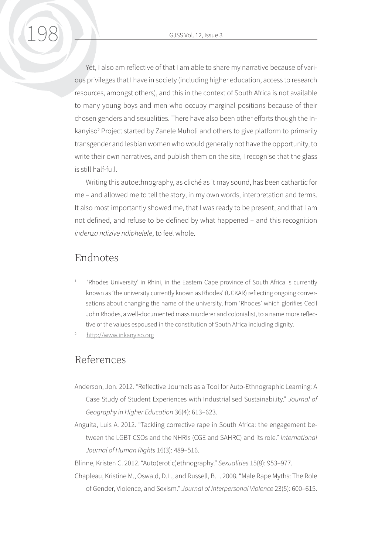Yet, I also am reflective of that I am able to share my narrative because of various privileges that I have in society (including higher education, access to research resources, amongst others), and this in the context of South Africa is not available to many young boys and men who occupy marginal positions because of their chosen genders and sexualities. There have also been other efforts though the Inkanyiso<sup>2</sup> Project started by Zanele Muholi and others to give platform to primarily transgender and lesbian women who would generally not have the opportunity, to write their own narratives, and publish them on the site, I recognise that the glass is still half-full.

Writing this autoethnography, as cliché as it may sound, has been cathartic for me – and allowed me to tell the story, in my own words, interpretation and terms. It also most importantly showed me, that I was ready to be present, and that I am not defined, and refuse to be defined by what happened – and this recognition *indenza ndizive ndiphelele*, to feel whole.

#### Endnotes

- <sup>1</sup> 'Rhodes University' in Rhini, in the Eastern Cape province of South Africa is currently known as 'the university currently known as Rhodes' (UCKAR) reflecting ongoing conversations about changing the name of the university, from 'Rhodes' which glorifies Cecil John Rhodes, a well-documented mass murderer and colonialist, to a name more reflective of the values espoused in the constitution of South Africa including dignity.
- <http://www.inkanyiso.org>

### References

- Anderson, Jon. 2012. "Reflective Journals as a Tool for Auto-Ethnographic Learning: A Case Study of Student Experiences with Industrialised Sustainability." *Journal of Geography in Higher Education* 36(4): 613–623.
- Anguita, Luis A. 2012. "Tackling corrective rape in South Africa: the engagement between the LGBT CSOs and the NHRIs (CGE and SAHRC) and its role." *International Journal of Human Rights* 16(3): 489–516.

Blinne, Kristen C. 2012. "Auto(erotic)ethnography." *Sexualities* 15(8): 953–977.

Chapleau, Kristine M., Oswald, D.L., and Russell, B.L. 2008. "Male Rape Myths: The Role of Gender, Violence, and Sexism." *Journal of Interpersonal Violence* 23(5): 600–615.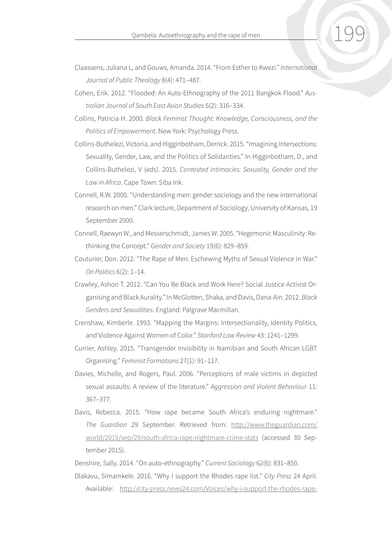- Claassens, Juliana L, and Gouws, Amanda. 2014. "From Esther to Kwezi." *International Journal of Public Theology* 8(4): 471–487.
- Cohen, Erik. 2012. "Flooded: An Auto-Ethnography of the 2011 Bangkok Flood." *Australian Journal of South East Asian Studies* 5(2): 316–334.
- Collins, Patricia H. 2000. *Black Feminist Thought: Knowledge, Consciousness, and the Politics of Empowerment*. New York: Psychology Press.
- Collins-Buthelezi, Victoria, and Higginbotham, Derrick. 2015. "Imagining Intersections: Sexuality, Gender, Law, and the Politics of Solidarities." In Higginbotham, D., and Collins-Buthelezi, V (eds). 2015. *Contested Intimacies: Sexuality, Gender and the Law in Africa*. Cape Town: Siba Ink.
- Connell, R.W. 2000. "Understanding men: gender sociology and the new international research on men." Clark lecture, Department of Sociology, University of Kansas, 19 September 2000.
- Connell, Raewyn W., and Messerschmidt, James W. 2005. "Hegemonic Masculinity: Rethinking the Concept." *Gender and Society* 19(6): 829–859.
- Couturier, Don. 2012. "The Rape of Men: Eschewing Myths of Sexual Violence in War." *On Politics* 6(2): 1–14.
- Crawley, Ashon T. 2012. "Can You Be Black and Work Here? Social Justice Activist Organising and Black Aurality." In McGlotten, Shaka, and Davis, Dana-Ain. 2012. *Black Genders and Sexualities*. England: Palgrave Macmillan.
- Crenshaw, Kimberle. 1993. "Mapping the Margins: Intersectionality, Identity Politics, and Violence Against Women of Color." *Stanford Law Review* 43: 1241–1299.
- Currier, Ashley. 2015. "Transgender Invisibility in Namibian and South African LGBT Organising." *Feminist Formations* 27(1): 91–117.
- Davies, Michelle, and Rogers, Paul. 2006. "Perceptions of male victims in depicted sexual assaults: A review of the literature." *Aggression and Violent Behaviour* 11: 367–377.
- Davis, Rebecca. 2015. "How rape became South Africa's enduring nightmare." *The Guardian* 29 September. Retrieved from: [http://www.theguardian.com/](http://www.theguardian.com/world/2015/sep/29/south-africa-rape-nightmare-crime-stats) [world/2015/sep/29/south-africa-rape-nightmare-crime-stats](http://www.theguardian.com/world/2015/sep/29/south-africa-rape-nightmare-crime-stats) (accessed 30 September 2015).

Denshire, Sally. 2014. "On auto-ethnography." *Current Sociology* 62(6): 831–850.

Dlakavu, Simamkele. 2016. "Why I support the Rhodes rape list." *City Press* 24 April. Available: [http://city-press.news24.com/Voices/why-i-support-the-rhodes-rape-](http://city-press.news24.com/Voices/why-i-support-the-rhodes-rape-list-20160424)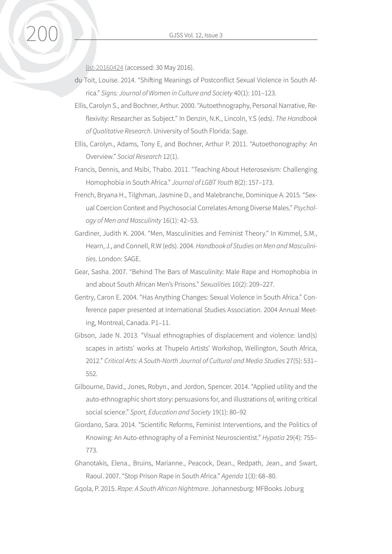[list-20160424](http://city-press.news24.com/Voices/why-i-support-the-rhodes-rape-list-20160424) (accessed: 30 May 2016).

- du Toit, Louise. 2014. "Shifting Meanings of Postconflict Sexual Violence in South Africa." *Signs: Journal of Women in Culture and Society* 40(1): 101–123.
- Ellis, Carolyn S., and Bochner, Arthur. 2000. "Autoethnography, Personal Narrative, Reflexivity: Researcher as Subject." In Denzin, N.K., Lincoln, Y.S (eds). *The Handbook of Qualitative Research*. University of South Florida: Sage.
- Ellis, Carolyn., Adams, Tony E, and Bochner, Arthur P. 2011. "Autoethonography: An Overview." *Social Research* 12(1).
- Francis, Dennis, and Msibi, Thabo. 2011. "Teaching About Heterosexism: Challenging Homophobia in South Africa." *Journal of LGBT Youth* 8(2): 157–173.
- French, Bryana H., Tilghman, Jasmine D., and Malebranche, Dominique A. 2015. "Sexual Coercion Context and Psychosocial Correlates Among Diverse Males." *Psychology of Men and Masculinity* 16(1): 42–53.
- Gardiner, Judith K. 2004. "Men, Masculinities and Feminist Theory." In Kimmel, S.M., Hearn, J., and Connell, R.W (eds). 2004. *Handbook of Studies on Men and Masculinities*. London: SAGE.
- Gear, Sasha. 2007. "Behind The Bars of Masculinity: Male Rape and Homophobia in and about South African Men's Prisons." *Sexualities* 10(2): 209–227.
- Gentry, Caron E. 2004. "Has Anything Changes: Sexual Violence in South Africa." Conference paper presented at International Studies Association. 2004 Annual Meeting, Montreal, Canada. P1–11.
- Gibson, Jade N. 2013. "Visual ethnographies of displacement and violence: land(s) scapes in artists' works at Thupelo Artists' Workshop, Wellington, South Africa, 2012." *Critical Arts: A South-North Journal of Cultural and Media Studies* 27(5): 531– 552.
- Gilbourne, David., Jones, Robyn., and Jordon, Spencer. 2014. "Applied utility and the auto-ethnographic short story: persuasions for, and illustrations of, writing critical social science." *Sport, Education and Society* 19(1): 80–92
- Giordano, Sara. 2014. "Scientific Reforms, Feminist Interventions, and the Politics of Knowing: An Auto-ethnography of a Feminist Neuroscientist." *Hypatia* 29(4): 755– 773.
- Ghanotakis, Elena., Bruins, Marianne., Peacock, Dean., Redpath, Jean., and Swart, Raoul. 2007. "Stop Prison Rape in South Africa." *Agenda* 1(3): 68–80.
- Gqola, P. 2015. *Rape: A South African Nightmare*. Johannesburg: MFBooks Joburg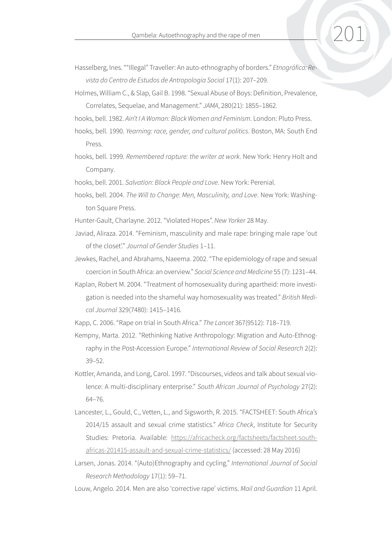- Hasselberg, Ines. ""Illegal" Traveller: An auto-ethnography of borders." *Etnográfica: Revista do Centro de Estudos de Antropologia Social* 17(1): 207–209.
- Holmes, William C., & Slap, Gail B. 1998. "Sexual Abuse of Boys: Definition, Prevalence, Correlates, Sequelae, and Management." *JAMA*, 280(21): 1855–1862.
- hooks, bell. 1982. *Ain't I A Woman: Black Women and Feminism*. London: Pluto Press.
- hooks, bell. 1990. *Yearning: race, gender, and cultural politics*. Boston, MA: South End Press.
- hooks, bell. 1999. *Remembered rapture: the writer at work*. New York: Henry Holt and Company.
- hooks, bell. 2001. *Salvation: Black People and Love*. New York: Perenial.
- hooks, bell. 2004. *The Will to Change: Men, Masculinity, and Love*. New York: Washington Square Press.
- Hunter-Gault, Charlayne. 2012. "Violated Hopes". *New Yorker* 28 May.
- Javiad, Aliraza. 2014. "Feminism, masculinity and male rape: bringing male rape 'out of the closet'." *Journal of Gender Studies* 1–11.
- Jewkes, Rachel, and Abrahams, Naeema. 2002. "The epidemiology of rape and sexual coercion in South Africa: an overview." *Social Science and Medicine* 55 (7): 1231–44.
- Kaplan, Robert M. 2004. "Treatment of homosexuality during apartheid: more investigation is needed into the shameful way homosexuality was treated." *British Medical Journal* 329(7480): 1415–1416.
- Kapp, C. 2006. "Rape on trial in South Africa." *The Lancet* 367(9512): 718–719.
- Kempny, Marta. 2012. "Rethinking Native Anthropology: Migration and Auto-Ethnography in the Post-Accession Europe." *International Review of Social Research* 2(2): 39–52.
- Kottler, Amanda, and Long, Carol. 1997. "Discourses, videos and talk about sexual violence: A multi-disciplinary enterprise." *South African Journal of Psychology* 27(2): 64–76.
- Lancester, L., Gould, C., Vetten, L., and Sigsworth, R. 2015. "FACTSHEET: South Africa's 2014/15 assault and sexual crime statistics." *Africa Check*, Institute for Security Studies: Pretoria. Available: [https://africacheck.org/factsheets/factsheet-south](https://africacheck.org/factsheets/factsheet-south-africas-201415-assault-and-sexual-crime-statistics/)[africas-201415-assault-and-sexual-crime-statistics/](https://africacheck.org/factsheets/factsheet-south-africas-201415-assault-and-sexual-crime-statistics/) (accessed: 28 May 2016)
- Larsen, Jonas. 2014. "(Auto)Ethnography and cycling." *International Journal of Social Research Methodology* 17(1): 59–71.
- Louw, Angelo. 2014. Men are also 'corrective rape' victims. *Mail and Guardian* 11 April.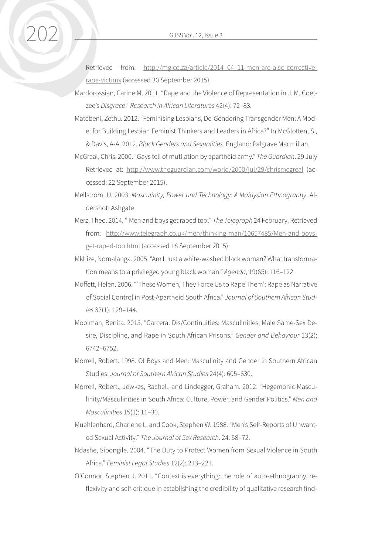Retrieved from: [http://mg.co.za/article/2014–04–11-men-are-also-corrective](http://mg.co.za/article/2014-04-11-men-are-also-corrective-rape-victims)[rape-victims](http://mg.co.za/article/2014-04-11-men-are-also-corrective-rape-victims) (accessed 30 September 2015).

- Mardorossian, Carine M. 2011. "Rape and the Violence of Representation in J. M. Coetzee's *Disgrace*." *Research in African Literatures* 42(4): 72–83.
- Matebeni, Zethu. 2012. "Feminising Lesbians, De-Gendering Transgender Men: A Model for Building Lesbian Feminist Thinkers and Leaders in Africa?" In McGlotten, S., & Davis, A-A. 2012. *Black Genders and Sexualities*. England: Palgrave Macmillan.
- McGreal, Chris. 2000. "Gays tell of mutilation by apartheid army." *The Guardian*. 29 July Retrieved at: <http://www.theguardian.com/world/2000/jul/29/chrismcgreal>(accessed: 22 September 2015).
- Mellstrom, U. 2003. *Masculinity, Power and Technology: A Malaysian Ethnography*. Aldershot: Ashgate
- Merz, Theo. 2014. "'Men and boys get raped too'." *The Telegraph* 24 February. Retrieved from: [http://www.telegraph.co.uk/men/thinking-man/10657485/Men-and-boys](http://www.telegraph.co.uk/men/thinking-man/10657485/Men-and-boys-get-raped-too.html)[get-raped-too.html](http://www.telegraph.co.uk/men/thinking-man/10657485/Men-and-boys-get-raped-too.html) (accessed 18 September 2015).
- Mkhize, Nomalanga. 2005. "Am I Just a white-washed black woman? What transformation means to a privileged young black woman." *Agenda*, 19(65): 116–122.
- Moffett, Helen. 2006. "'These Women, They Force Us to Rape Them': Rape as Narrative of Social Control in Post-Apartheid South Africa." *Journal of Southern African Studies* 32(1): 129–144.
- Moolman, Benita. 2015. "Carceral Dis/Continuities: Masculinities, Male Same-Sex Desire, Discipline, and Rape in South African Prisons." *Gender and Behaviour* 13(2): 6742–6752.
- Morrell, Robert. 1998. Of Boys and Men: Masculinity and Gender in Southern African Studies. *Journal of Southern African Studies* 24(4): 605–630.
- Morrell, Robert., Jewkes, Rachel., and Lindegger, Graham. 2012. "Hegemonic Masculinity/Masculinities in South Africa: Culture, Power, and Gender Politics." *Men and Masculinities* 15(1): 11–30.
- Muehlenhard, Charlene L, and Cook, Stephen W. 1988. "Men's Self-Reports of Unwanted Sexual Activity." *The Journal of Sex Research*. 24: 58–72.
- Ndashe, Sibongile. 2004. "The Duty to Protect Women from Sexual Violence in South Africa." *Feminist Legal Studies* 12(2): 213–221.
- O'Connor, Stephen J. 2011. "Context is everything: the role of auto-ethnography, reflexivity and self-critique in establishing the credibility of qualitative research find-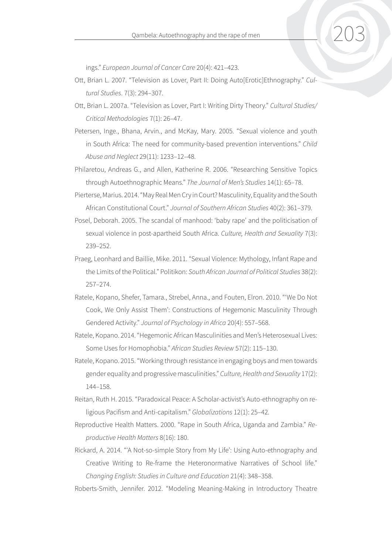ings." *European Journal of Cancer Care* 20(4): 421–423.

- Ott, Brian L. 2007. "Television as Lover, Part II: Doing Auto[Erotic]Ethnography." *Cultural Studies*. 7(3): 294–307.
- Ott, Brian L. 2007a. "Television as Lover, Part I: Writing Dirty Theory." *Cultural Studies/ Critical Methodologies* 7(1): 26–47.
- Petersen, Inge., Bhana, Arvin., and McKay, Mary. 2005. "Sexual violence and youth in South Africa: The need for community-based prevention interventions." *Child Abuse and Neglect* 29(11): 1233–12–48.
- Philaretou, Andreas G., and Allen, Katherine R. 2006. "Researching Sensitive Topics through Autoethnographic Means." *The Journal of Men's Studies* 14(1): 65–78.
- Pierterse, Marius. 2014. "May Real Men Cry in Court? Masculinity, Equality and the South African Constitutional Court." *Journal of Southern African Studies* 40(2): 361–379.
- Posel, Deborah. 2005. The scandal of manhood: 'baby rape' and the politicisation of sexual violence in post-apartheid South Africa. *Culture, Health and Sexuality* 7(3): 239–252.
- Praeg, Leonhard and Baillie, Mike. 2011. "Sexual Violence: Mythology, Infant Rape and the Limits of the Political." Politikon: *South African Journal of Political Studies* 38(2): 257–274.
- Ratele, Kopano, Shefer, Tamara., Strebel, Anna., and Fouten, Elron. 2010. "'We Do Not Cook, We Only Assist Them': Constructions of Hegemonic Masculinity Through Gendered Activity." *Journal of Psychology in Africa* 20(4): 557–568.
- Ratele, Kopano. 2014. "Hegemonic African Masculinities and Men's Heterosexual Lives: Some Uses for Homophobia." *African Studies Review* 57(2): 115–130.
- Ratele, Kopano. 2015. "Working through resistance in engaging boys and men towards gender equality and progressive masculinities." *Culture, Health and Sexuality* 17(2): 144–158.
- Reitan, Ruth H. 2015. "Paradoxical Peace: A Scholar-activist's Auto-ethnography on religious Pacifism and Anti-capitalism." *Globalizations* 12(1): 25–42.
- Reproductive Health Matters. 2000. "Rape in South Africa, Uganda and Zambia." *Reproductive Health Matters* 8(16): 180.
- Rickard, A. 2014. "'A Not-so-simple Story from My Life': Using Auto-ethnography and Creative Writing to Re-frame the Heteronormative Narratives of School life." *Changing English: Studies in Culture and Education* 21(4): 348–358.
- Roberts-Smith, Jennifer. 2012. "Modeling Meaning-Making in Introductory Theatre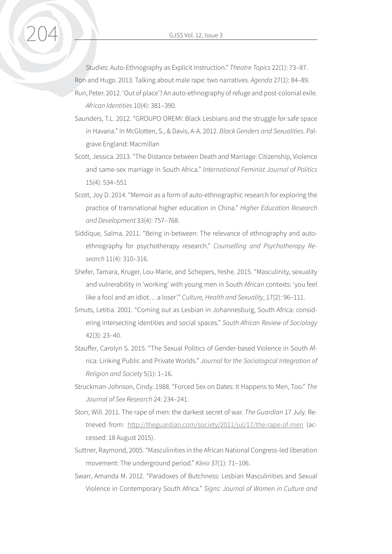Studies: Auto-Ethnography as Explicit Instruction." *Theatre Topics* 22(1): 73–87. Ron and Hugo. 2013. Talking about male rape: two narratives. *Agenda* 27(1): 84–89.

- Run, Peter. 2012. 'Out of place'? An auto-ethnography of refuge and post-colonial exile. *African Identities* 10(4): 381–390.
- Saunders, T.L. 2012. "GROUPO OREMI: Black Lesbians and the struggle for safe space in Havana." In McGlotten, S., & Davis, A-A. 2012. *Black Genders and Sexualities*. Palgrave England: Macmillan
- Scott, Jessica. 2013. "The Distance between Death and Marriage: Citizenship, Violence and same-sex marriage in South Africa." *International Feminist Journal of Politics* 15(4): 534–551
- Scott, Joy D. 2014. "Memoir as a form of auto-ethnographic research for exploring the practice of transnational higher education in China." *Higher Education Research and Development* 33(4): 757–768.
- Siddique, Salma. 2011. "Being in-between: The relevance of ethnography and autoethnography for psychotherapy research." *Counselling and Psychotherapy Research* 11(4): 310–316.
- Shefer, Tamara, Kruger, Lou-Marie, and Schepers, Yeshe. 2015. "Masculinity, sexuality and vulnerability in 'working' with young men in South African contexts: 'you feel like a fool and an idiot… a loser'." *Culture, Health and Sexuality*, 17(2): 96–111.
- Smuts, Letitia. 2001. "Coming out as Lesbian in Johannesburg, South Africa: considering intersecting identities and social spaces." *South African Review of Sociology* 42(3): 23–40.
- Stauffer, Carolyn S. 2015. "The Sexual Politics of Gender-based Violence in South Africa: Linking Public and Private Worlds." *Journal for the Sociological Integration of Religion and Society* 5(1): 1–16.
- Struckman-Johnson, Cindy. 1988. "Forced Sex on Dates: It Happens to Men, Too." *The Journal of Sex Research* 24: 234–241.
- Storr, Will. 2011. The rape of men: the darkest secret of war. *The Guardian* 17 July. Retrieved from: <http://theguardian.com/society/2011/jul/17/the-rape-of-men>(accessed: 18 August 2015).
- Suttner, Raymond, 2005. "Masculinities in the African National Congress-led liberation movement: The underground period." *Kleio* 37(1): 71–106.
- Swarr, Amanda M. 2012. "Paradoxes of Butchness: Lesbian Masculinities and Sexual Violence in Contemporary South Africa." *Signs: Journal of Women in Culture and*